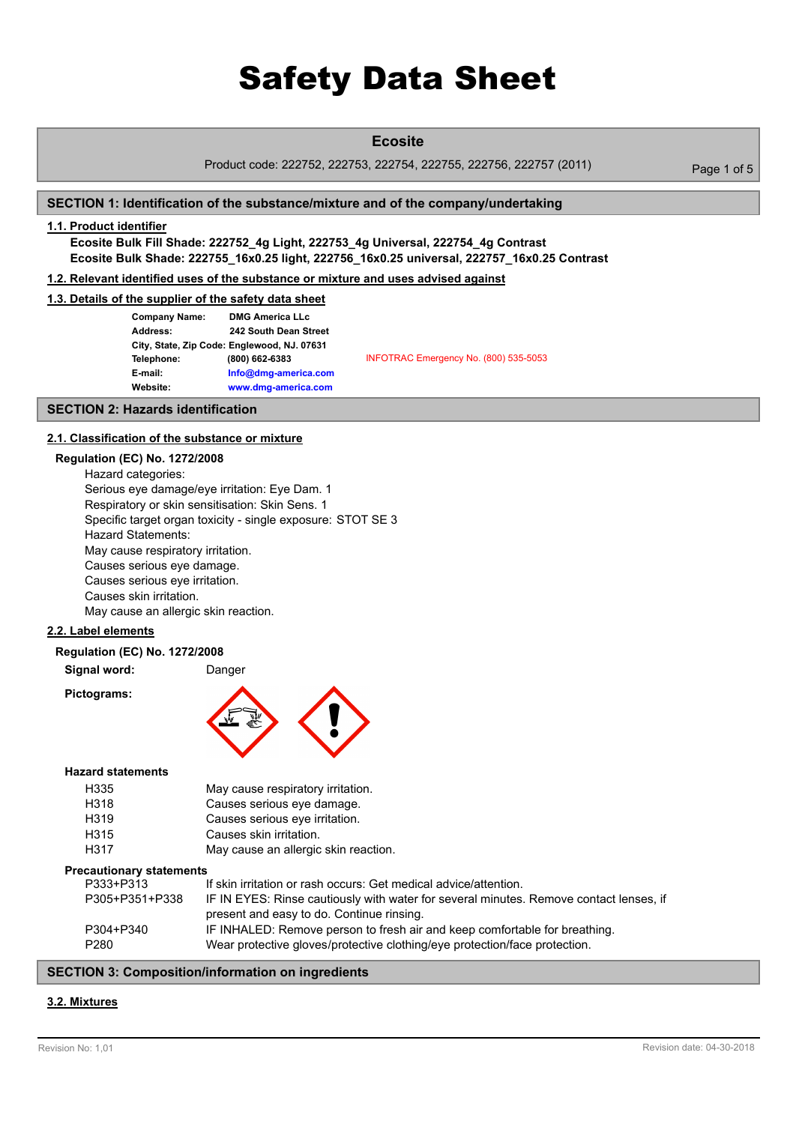# **Ecosite**

Product code: 222752, 222753, 222754, 222755, 222756, 222757 (2011) Page 1 of 5

# **SECTION 1: Identification of the substance/mixture and of the company/undertaking**

# **1.1. Product identifier**

**Ecosite Bulk Fill Shade: 222752\_4g Light, 222753\_4g Universal, 222754\_4g Contrast Ecosite Bulk Shade: 222755\_16x0.25 light, 222756\_16x0.25 universal, 222757\_16x0.25 Contrast**

# **1.2. Relevant identified uses of the substance or mixture and uses advised against**

# **1.3. Details of the supplier of the safety data sheet**

| <b>Company Name:</b> | <b>DMG America LLc</b>                      |                                       |
|----------------------|---------------------------------------------|---------------------------------------|
| Address:             | 242 South Dean Street                       |                                       |
|                      | City, State, Zip Code: Englewood, NJ. 07631 |                                       |
| Telephone:           | (800) 662-6383                              | INFOTRAC Emergency No. (800) 535-5053 |
| E-mail:              | Info@dmg-america.com                        |                                       |
| Website:             | www.dmg-america.com                         |                                       |
|                      |                                             |                                       |

#### **SECTION 2: Hazards identification**

#### **2.1. Classification of the substance or mixture**

#### **Regulation (EC) No. 1272/2008**

Hazard categories: Serious eye damage/eye irritation: Eye Dam. 1 Respiratory or skin sensitisation: Skin Sens. 1 Specific target organ toxicity - single exposure: STOT SE 3 Hazard Statements: May cause respiratory irritation. Causes serious eye damage. Causes serious eye irritation. Causes skin irritation. May cause an allergic skin reaction.

# **2.2. Label elements**

**Signal word:** Danger

**Pictograms:**



#### **Hazard statements**

| H335 | May cause respiratory irritation.    |
|------|--------------------------------------|
| H318 | Causes serious eye damage.           |
| H319 | Causes serious eve irritation.       |
| H315 | Causes skin irritation.              |
| H317 | May cause an allergic skin reaction. |

#### **Precautionary statements**

| P333+P313      | If skin irritation or rash occurs: Get medical advice/attention.                       |
|----------------|----------------------------------------------------------------------------------------|
| P305+P351+P338 | IF IN EYES: Rinse cautiously with water for several minutes. Remove contact lenses, if |
|                | present and easy to do. Continue rinsing.                                              |
| P304+P340      | IF INHALED: Remove person to fresh air and keep comfortable for breathing.             |
| P280           | Wear protective gloves/protective clothing/eye protection/face protection.             |
|                |                                                                                        |

# **SECTION 3: Composition/information on ingredients**

# **3.2. Mixtures**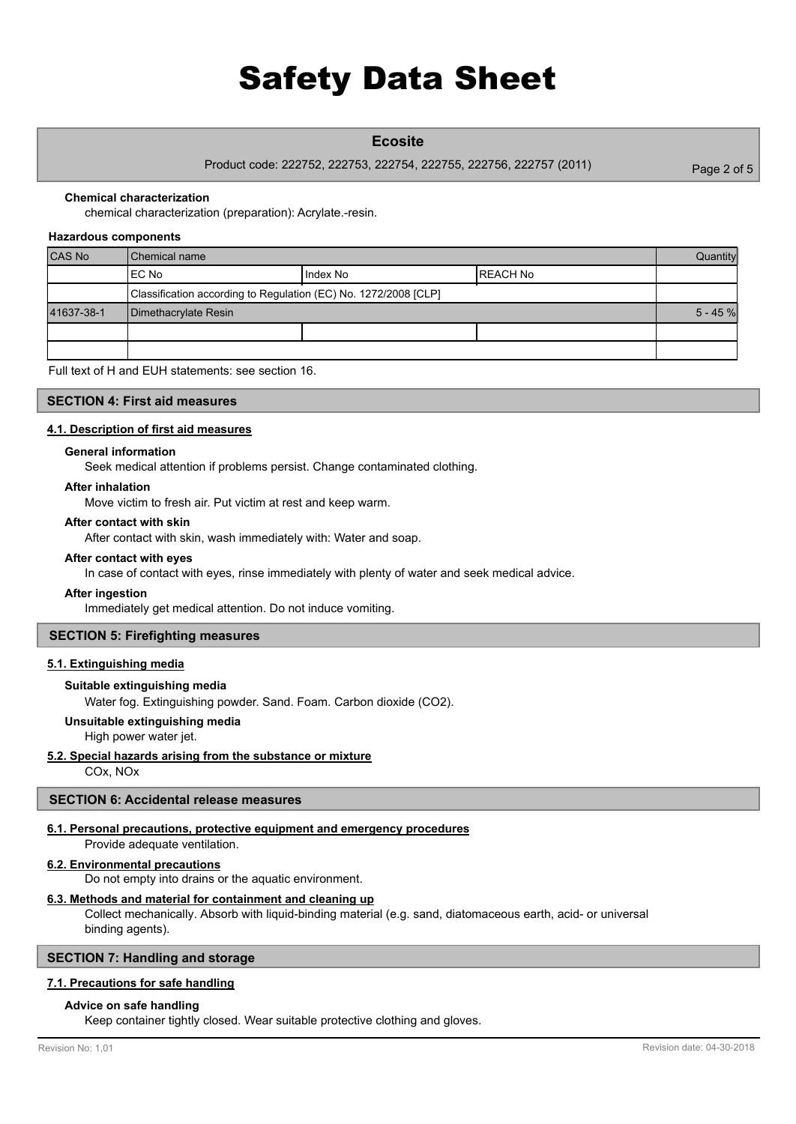# **Ecosite**

Product code: 222752, 222753, 222754, 222755, 222756, 222757 (2011)

Page 2 of 5

#### **Chemical characterization**

chemical characterization (preparation): Acrylate.-resin.

#### **Hazardous components**

| CAS No     | l Chemical name                                                 |          | Quantity   |  |
|------------|-----------------------------------------------------------------|----------|------------|--|
|            | IEC No                                                          | Index No | REACH No   |  |
|            | Classification according to Regulation (EC) No. 1272/2008 [CLP] |          |            |  |
| 41637-38-1 | Dimethacrylate Resin                                            |          | $5 - 45$ % |  |
|            |                                                                 |          |            |  |
|            |                                                                 |          |            |  |

Full text of H and EUH statements: see section 16.

### **SECTION 4: First aid measures**

#### **4.1. Description of first aid measures**

#### **General information**

Seek medical attention if problems persist. Change contaminated clothing.

#### **After inhalation**

Move victim to fresh air. Put victim at rest and keep warm.

#### **After contact with skin**

After contact with skin, wash immediately with: Water and soap.

#### **After contact with eyes**

In case of contact with eyes, rinse immediately with plenty of water and seek medical advice.

#### **After ingestion**

Immediately get medical attention. Do not induce vomiting.

#### **SECTION 5: Firefighting measures**

# **5.1. Extinguishing media**

# **Suitable extinguishing media**

Water fog. Extinguishing powder. Sand. Foam. Carbon dioxide (CO2).

#### **Unsuitable extinguishing media**

High power water jet.

#### **5.2. Special hazards arising from the substance or mixture**

COx, NOx

# **SECTION 6: Accidental release measures**

#### **6.1. Personal precautions, protective equipment and emergency procedures** Provide adequate ventilation.

# **6.2. Environmental precautions**

Do not empty into drains or the aquatic environment.

### **6.3. Methods and material for containment and cleaning up**

Collect mechanically. Absorb with liquid-binding material (e.g. sand, diatomaceous earth, acid- or universal binding agents).

## **SECTION 7: Handling and storage**

#### **7.1. Precautions for safe handling**

#### **Advice on safe handling**

Keep container tightly closed. Wear suitable protective clothing and gloves.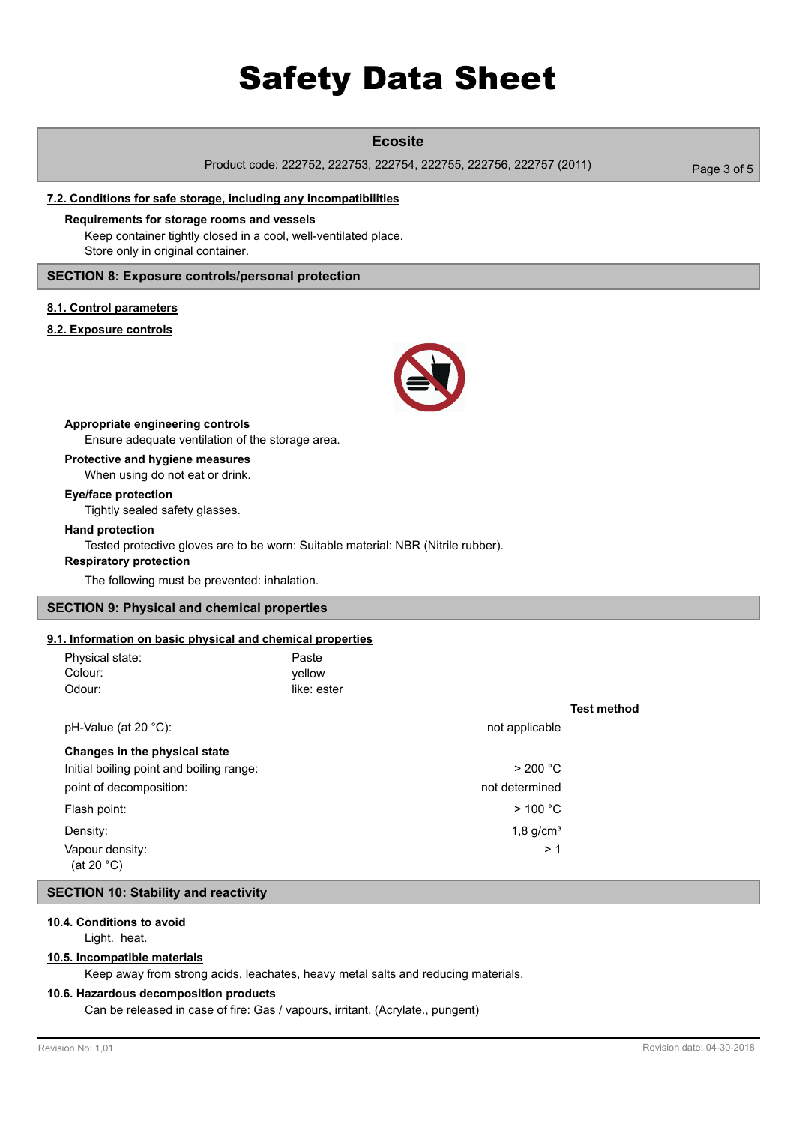# **Ecosite**

Product code: 222752, 222753, 222754, 222755, 222756, 222757 (2011)

Page 3 of 5

### **7.2. Conditions for safe storage, including any incompatibilities**

Keep container tightly closed in a cool, well-ventilated place. Store only in original container. **Requirements for storage rooms and vessels**

# **SECTION 8: Exposure controls/personal protection**

## **8.1. Control parameters**

## **8.2. Exposure controls**



Ensure adequate ventilation of the storage area. **Appropriate engineering controls**

#### **Protective and hygiene measures**

When using do not eat or drink.

#### **Eye/face protection**

Tightly sealed safety glasses.

#### **Hand protection**

Tested protective gloves are to be worn: Suitable material: NBR (Nitrile rubber).

# **Respiratory protection**

The following must be prevented: inhalation.

# **SECTION 9: Physical and chemical properties**

### **9.1. Information on basic physical and chemical properties**

| Physical state:<br>Colour:               | Paste<br>vellow |                         |
|------------------------------------------|-----------------|-------------------------|
| Odour:                                   | like: ester     |                         |
|                                          |                 |                         |
| pH-Value (at 20 $^{\circ}$ C):           |                 | not applicable          |
| Changes in the physical state            |                 |                         |
| Initial boiling point and boiling range: |                 | > 200 °C                |
| point of decomposition:                  |                 | not determined          |
| Flash point:                             |                 | $>$ 100 °C              |
| Density:                                 |                 | $1,8$ g/cm <sup>3</sup> |
| Vapour density:<br>(at 20 °C)            |                 | >1                      |

### **SECTION 10: Stability and reactivity**

# **10.4. Conditions to avoid**

Light. heat.

## **10.5. Incompatible materials**

Keep away from strong acids, leachates, heavy metal salts and reducing materials.

## **10.6. Hazardous decomposition products**

Can be released in case of fire: Gas / vapours, irritant. (Acrylate., pungent)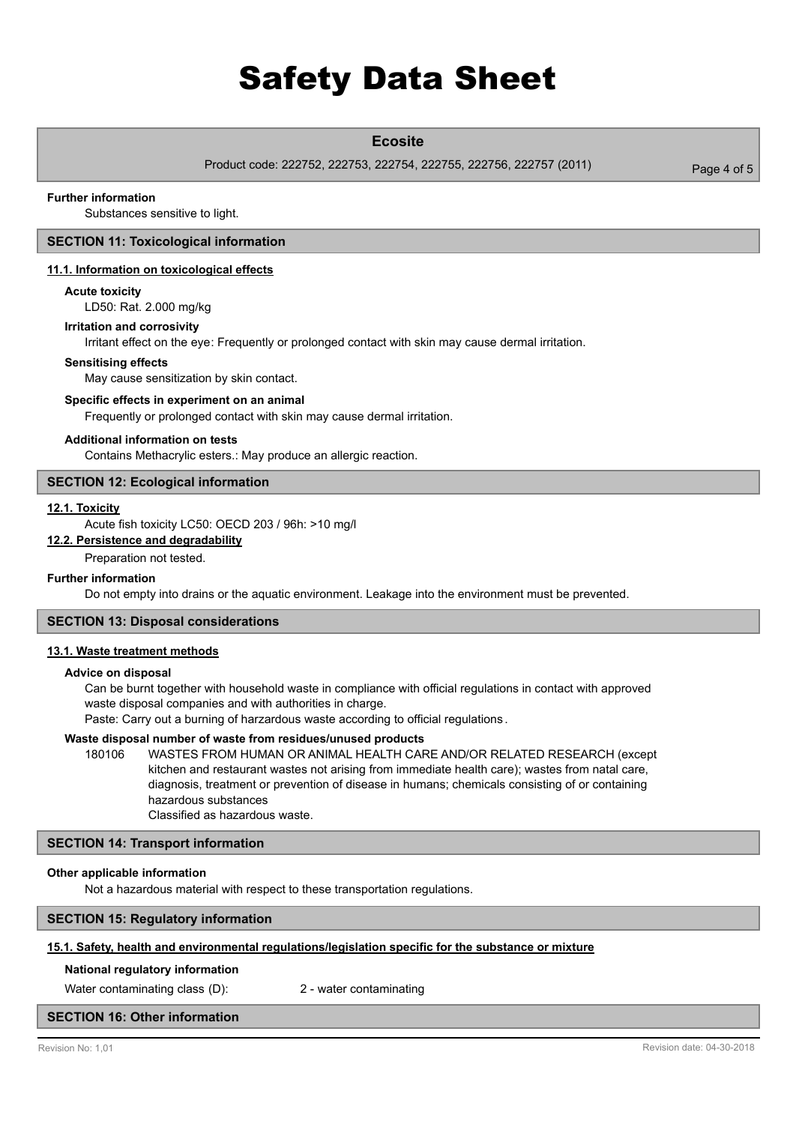# **Ecosite**

Product code: 222752, 222753, 222754, 222755, 222756, 222757 (2011)

#### **Further information**

Substances sensitive to light.

# **SECTION 11: Toxicological information**

### **11.1. Information on toxicological effects**

#### **Acute toxicity**

LD50: Rat. 2.000 mg/kg

## **Irritation and corrosivity**

Irritant effect on the eye: Frequently or prolonged contact with skin may cause dermal irritation.

#### **Sensitising effects**

May cause sensitization by skin contact.

## **Specific effects in experiment on an animal**

Frequently or prolonged contact with skin may cause dermal irritation.

## **Additional information on tests**

Contains Methacrylic esters.: May produce an allergic reaction.

## **SECTION 12: Ecological information**

#### **12.1. Toxicity**

Acute fish toxicity LC50: OECD 203 / 96h: >10 mg/l

# **12.2. Persistence and degradability**

Preparation not tested.

### **Further information**

Do not empty into drains or the aquatic environment. Leakage into the environment must be prevented.

#### **SECTION 13: Disposal considerations**

#### **13.1. Waste treatment methods**

#### **Advice on disposal**

Can be burnt together with household waste in compliance with official regulations in contact with approved waste disposal companies and with authorities in charge.

Paste: Carry out a burning of harzardous waste according to official regulations .

#### **Waste disposal number of waste from residues/unused products**

180106 WASTES FROM HUMAN OR ANIMAL HEALTH CARE AND/OR RELATED RESEARCH (except kitchen and restaurant wastes not arising from immediate health care); wastes from natal care, diagnosis, treatment or prevention of disease in humans; chemicals consisting of or containing hazardous substances Classified as hazardous waste.

#### **SECTION 14: Transport information**

#### **Other applicable information**

Not a hazardous material with respect to these transportation regulations.

## **SECTION 15: Regulatory information**

#### **15.1. Safety, health and environmental regulations/legislation specific for the substance or mixture**

#### **National regulatory information**

Water contaminating class (D): 2 - water contaminating

# **SECTION 16: Other information**

Page 4 of 5